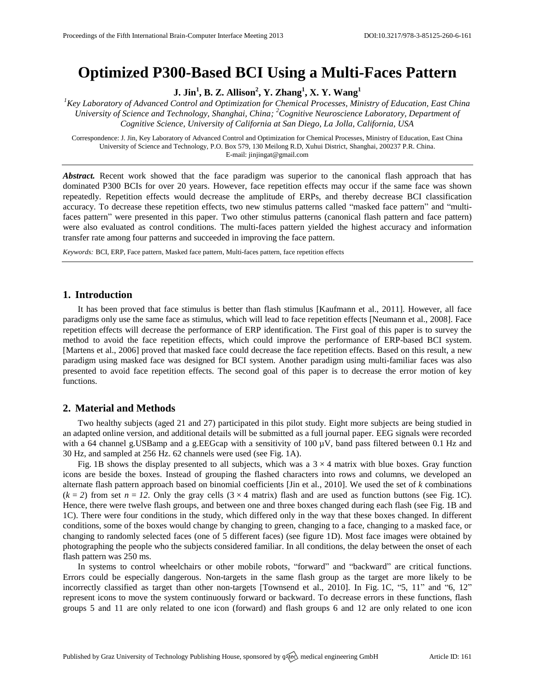# **Optimized P300-Based BCI Using a Multi-Faces Pattern**

**J. Jin<sup>1</sup> , B. Z. Allison<sup>2</sup> , Y. Zhang<sup>1</sup> , X. Y. Wang<sup>1</sup>**

*<sup>1</sup>Key Laboratory of Advanced Control and Optimization for Chemical Processes, Ministry of Education, East China University of Science and Technology, Shanghai, China; <sup>2</sup>Cognitive Neuroscience Laboratory, Department of Cognitive Science, University of California at San Diego, La Jolla, California, USA*

Correspondence: J. Jin, Key Laboratory of Advanced Control and Optimization for Chemical Processes, Ministry of Education, East China University of Science and Technology, P.O. Box 579, 130 Meilong R.D, Xuhui District, Shanghai, 200237 P.R. China. E-mail[: jinjingat@gmail.com](mailto:jinjingat@gmail.com)

Abstract. Recent work showed that the face paradigm was superior to the canonical flash approach that has dominated P300 BCIs for over 20 years. However, face repetition effects may occur if the same face was shown repeatedly. Repetition effects would decrease the amplitude of ERPs, and thereby decrease BCI classification accuracy. To decrease these repetition effects, two new stimulus patterns called "masked face pattern" and "multifaces pattern" were presented in this paper. Two other stimulus patterns (canonical flash pattern and face pattern) were also evaluated as control conditions. The multi-faces pattern yielded the highest accuracy and information transfer rate among four patterns and succeeded in improving the face pattern.

*Keywords:* BCI, ERP, Face pattern, Masked face pattern, Multi-faces pattern, face repetition effects

### **1. Introduction**

It has been proved that face stimulus is better than flash stimulus [Kaufmann et al., 2011]. However, all face paradigms only use the same face as stimulus, which will lead to face repetition effects [Neumann et al., 2008]. Face repetition effects will decrease the performance of ERP identification. The First goal of this paper is to survey the method to avoid the face repetition effects, which could improve the performance of ERP-based BCI system. [Martens et al., 2006] proved that masked face could decrease the face repetition effects. Based on this result, a new paradigm using masked face was designed for BCI system. Another paradigm using multi-familiar faces was also presented to avoid face repetition effects. The second goal of this paper is to decrease the error motion of key functions.

# **2. Material and Methods**

Two healthy subjects (aged 21 and 27) participated in this pilot study. Eight more subjects are being studied in an adapted online version, and additional details will be submitted as a full journal paper. EEG signals were recorded with a 64 channel g.USBamp and a g.EEGcap with a sensitivity of 100  $\mu$ V, band pass filtered between 0.1 Hz and 30 Hz, and sampled at 256 Hz. 62 channels were used (see Fig. 1A).

Fig. 1B shows the display presented to all subjects, which was a  $3 \times 4$  matrix with blue boxes. Gray function icons are beside the boxes. Instead of grouping the flashed characters into rows and columns, we developed an alternate flash pattern approach based on binomial coefficients [Jin et al., 2010]. We used the set of *k* combinations  $(k = 2)$  from set  $n = 12$ . Only the gray cells  $(3 \times 4$  matrix) flash and are used as function buttons (see Fig. 1C). Hence, there were twelve flash groups, and between one and three boxes changed during each flash (see Fig. 1B and 1C). There were four conditions in the study, which differed only in the way that these boxes changed. In different conditions, some of the boxes would change by changing to green, changing to a face, changing to a masked face, or changing to randomly selected faces (one of 5 different faces) (see figure 1D). Most face images were obtained by photographing the people who the subjects considered familiar. In all conditions, the delay between the onset of each flash pattern was 250 ms.

In systems to control wheelchairs or other mobile robots, "forward" and "backward" are critical functions. Errors could be especially dangerous. Non-targets in the same flash group as the target are more likely to be incorrectly classified as target than other non-targets [Townsend et al., 2010]. In Fig. 1C, "5, 11" and "6, 12" represent icons to move the system continuously forward or backward. To decrease errors in these functions, flash groups 5 and 11 are only related to one icon (forward) and flash groups 6 and 12 are only related to one icon